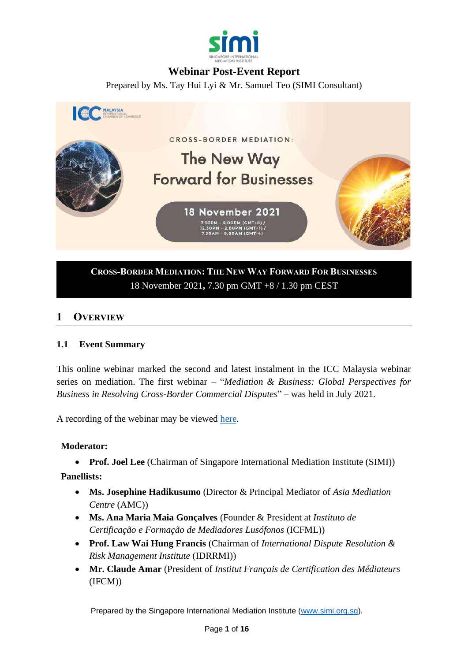

# **Webinar Post-Event Report**

Prepared by Ms. Tay Hui Lyi & Mr. Samuel Teo (SIMI Consultant)



# **CROSS-BORDER MEDIATION: THE NEW WAY FORWARD FOR BUSINESSES** 18 November 2021**,** 7.30 pm GMT +8 / 1.30 pm CEST

# **1 OVERVIEW**

#### **1.1 Event Summary**

This online webinar marked the second and latest instalment in the ICC Malaysia webinar series on mediation. The first webinar – "*Mediation & Business: Global Perspectives for Business in Resolving Cross-Border Commercial Disputes*" – was held in July 2021.

A recording of the webinar may be viewed [here.](https://www.youtube.com/watch?v=uDUtkaYRqXQ)

#### **Moderator:**

• **Prof. Joel Lee** (Chairman of Singapore International Mediation Institute (SIMI))

**Panellists:**

- **Ms. Josephine Hadikusumo** (Director & Principal Mediator of *Asia Mediation Centre* (AMC))
- **Ms. Ana Maria Maia Gonçalves** (Founder & President at *Instituto de Certificação e Formação de Mediadores Lusófonos* (ICFML))
- **Prof. Law Wai Hung Francis** (Chairman of *International Dispute Resolution & Risk Management Institute* (IDRRMI))
- **Mr. Claude Amar** (President of *Institut Français de Certification des Médiateurs* (IFCM))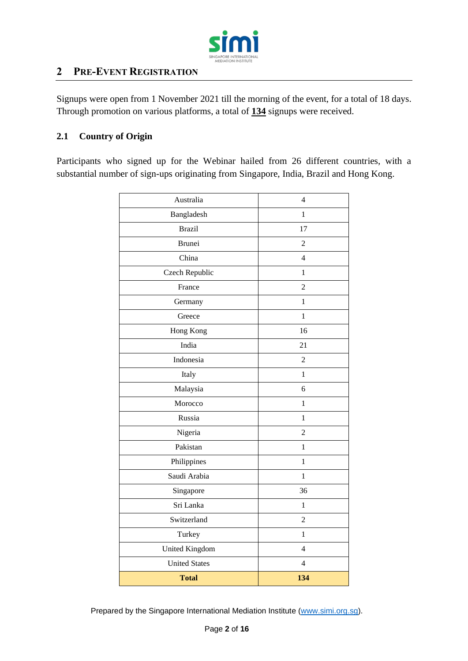

# **2 PRE-EVENT REGISTRATION**

Signups were open from 1 November 2021 till the morning of the event, for a total of 18 days. Through promotion on various platforms, a total of **134** signups were received.

# **2.1 Country of Origin**

Participants who signed up for the Webinar hailed from 26 different countries, with a substantial number of sign-ups originating from Singapore, India, Brazil and Hong Kong.

| Australia            | $\overline{4}$ |
|----------------------|----------------|
| Bangladesh           | 1              |
| <b>Brazil</b>        | 17             |
| <b>Brunei</b>        | 2              |
| China                | $\overline{4}$ |
| Czech Republic       | 1              |
| France               | $\overline{2}$ |
| Germany              | $\mathbf{1}$   |
| Greece               | $\mathbf{1}$   |
| Hong Kong            | 16             |
| India                | 21             |
| Indonesia            | $\overline{2}$ |
| Italy                | $\mathbf{1}$   |
| Malaysia             | 6              |
| Morocco              | 1              |
| Russia               | $\mathbf{1}$   |
| Nigeria              | $\overline{2}$ |
| Pakistan             | $\mathbf{1}$   |
| Philippines          | $\mathbf{1}$   |
| Saudi Arabia         | 1              |
| Singapore            | 36             |
| Sri Lanka            | 1              |
| Switzerland          | $\overline{2}$ |
| Turkey               | $\mathbf{1}$   |
| United Kingdom       | $\overline{4}$ |
| <b>United States</b> | $\overline{4}$ |
| <b>Total</b>         | 134            |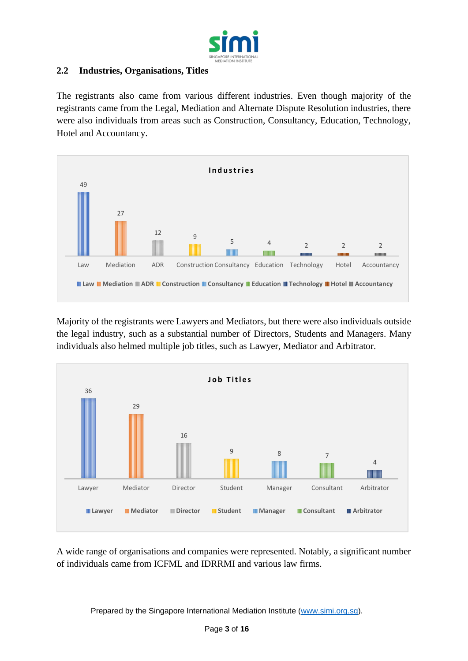

## **2.2 Industries, Organisations, Titles**

The registrants also came from various different industries. Even though majority of the registrants came from the Legal, Mediation and Alternate Dispute Resolution industries, there were also individuals from areas such as Construction, Consultancy, Education, Technology, Hotel and Accountancy.



Majority of the registrants were Lawyers and Mediators, but there were also individuals outside the legal industry, such as a substantial number of Directors, Students and Managers. Many individuals also helmed multiple job titles, such as Lawyer, Mediator and Arbitrator.



A wide range of organisations and companies were represented. Notably, a significant number of individuals came from ICFML and IDRRMI and various law firms.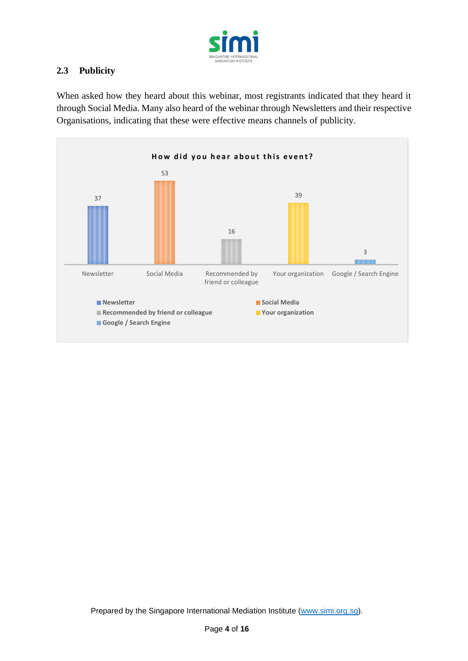

# **2.3 Publicity**

When asked how they heard about this webinar, most registrants indicated that they heard it through Social Media. Many also heard of the webinar through Newsletters and their respective Organisations, indicating that these were effective means channels of publicity.

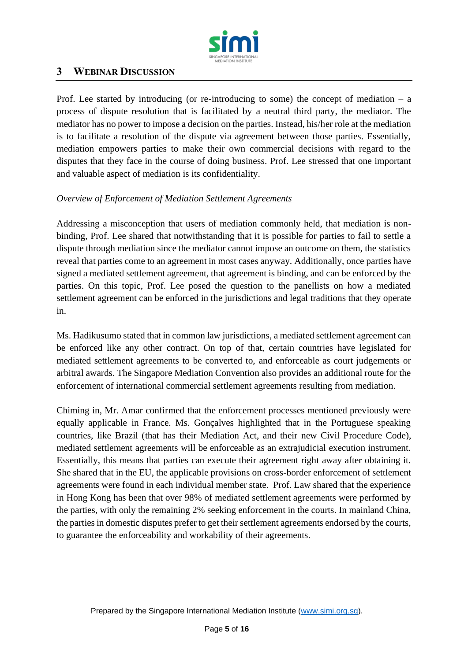

# **3 WEBINAR DISCUSSION**

Prof. Lee started by introducing (or re-introducing to some) the concept of mediation  $-$  a process of dispute resolution that is facilitated by a neutral third party, the mediator. The mediator has no power to impose a decision on the parties. Instead, his/her role at the mediation is to facilitate a resolution of the dispute via agreement between those parties. Essentially, mediation empowers parties to make their own commercial decisions with regard to the disputes that they face in the course of doing business. Prof. Lee stressed that one important and valuable aspect of mediation is its confidentiality.

#### *Overview of Enforcement of Mediation Settlement Agreements*

Addressing a misconception that users of mediation commonly held, that mediation is nonbinding, Prof. Lee shared that notwithstanding that it is possible for parties to fail to settle a dispute through mediation since the mediator cannot impose an outcome on them, the statistics reveal that parties come to an agreement in most cases anyway. Additionally, once parties have signed a mediated settlement agreement, that agreement is binding, and can be enforced by the parties. On this topic, Prof. Lee posed the question to the panellists on how a mediated settlement agreement can be enforced in the jurisdictions and legal traditions that they operate in.

Ms. Hadikusumo stated that in common law jurisdictions, a mediated settlement agreement can be enforced like any other contract. On top of that, certain countries have legislated for mediated settlement agreements to be converted to, and enforceable as court judgements or arbitral awards. The Singapore Mediation Convention also provides an additional route for the enforcement of international commercial settlement agreements resulting from mediation.

Chiming in, Mr. Amar confirmed that the enforcement processes mentioned previously were equally applicable in France. Ms. Gonçalves highlighted that in the Portuguese speaking countries, like Brazil (that has their Mediation Act, and their new Civil Procedure Code), mediated settlement agreements will be enforceable as an extrajudicial execution instrument. Essentially, this means that parties can execute their agreement right away after obtaining it. She shared that in the EU, the applicable provisions on cross-border enforcement of settlement agreements were found in each individual member state. Prof. Law shared that the experience in Hong Kong has been that over 98% of mediated settlement agreements were performed by the parties, with only the remaining 2% seeking enforcement in the courts. In mainland China, the parties in domestic disputes prefer to get their settlement agreements endorsed by the courts, to guarantee the enforceability and workability of their agreements.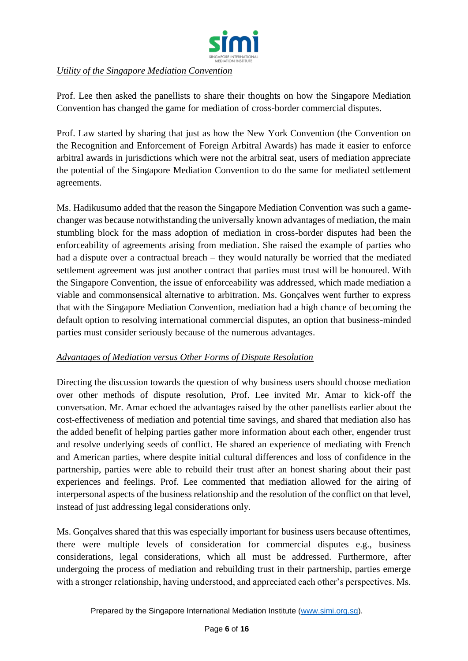

## *Utility of the Singapore Mediation Convention*

Prof. Lee then asked the panellists to share their thoughts on how the Singapore Mediation Convention has changed the game for mediation of cross-border commercial disputes.

Prof. Law started by sharing that just as how the New York Convention (the Convention on the Recognition and Enforcement of Foreign Arbitral Awards) has made it easier to enforce arbitral awards in jurisdictions which were not the arbitral seat, users of mediation appreciate the potential of the Singapore Mediation Convention to do the same for mediated settlement agreements.

Ms. Hadikusumo added that the reason the Singapore Mediation Convention was such a gamechanger was because notwithstanding the universally known advantages of mediation, the main stumbling block for the mass adoption of mediation in cross-border disputes had been the enforceability of agreements arising from mediation. She raised the example of parties who had a dispute over a contractual breach – they would naturally be worried that the mediated settlement agreement was just another contract that parties must trust will be honoured. With the Singapore Convention, the issue of enforceability was addressed, which made mediation a viable and commonsensical alternative to arbitration. Ms. Gonçalves went further to express that with the Singapore Mediation Convention, mediation had a high chance of becoming the default option to resolving international commercial disputes, an option that business-minded parties must consider seriously because of the numerous advantages.

#### *Advantages of Mediation versus Other Forms of Dispute Resolution*

Directing the discussion towards the question of why business users should choose mediation over other methods of dispute resolution, Prof. Lee invited Mr. Amar to kick-off the conversation. Mr. Amar echoed the advantages raised by the other panellists earlier about the cost-effectiveness of mediation and potential time savings, and shared that mediation also has the added benefit of helping parties gather more information about each other, engender trust and resolve underlying seeds of conflict. He shared an experience of mediating with French and American parties, where despite initial cultural differences and loss of confidence in the partnership, parties were able to rebuild their trust after an honest sharing about their past experiences and feelings. Prof. Lee commented that mediation allowed for the airing of interpersonal aspects of the business relationship and the resolution of the conflict on that level, instead of just addressing legal considerations only.

Ms. Gonçalves shared that this was especially important for business users because oftentimes, there were multiple levels of consideration for commercial disputes e.g., business considerations, legal considerations, which all must be addressed. Furthermore, after undergoing the process of mediation and rebuilding trust in their partnership, parties emerge with a stronger relationship, having understood, and appreciated each other's perspectives. Ms.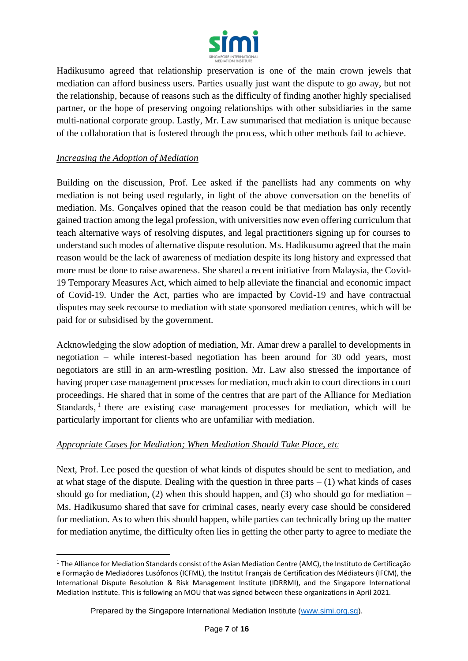

Hadikusumo agreed that relationship preservation is one of the main crown jewels that mediation can afford business users. Parties usually just want the dispute to go away, but not the relationship, because of reasons such as the difficulty of finding another highly specialised partner, or the hope of preserving ongoing relationships with other subsidiaries in the same multi-national corporate group. Lastly, Mr. Law summarised that mediation is unique because of the collaboration that is fostered through the process, which other methods fail to achieve.

#### *Increasing the Adoption of Mediation*

Building on the discussion, Prof. Lee asked if the panellists had any comments on why mediation is not being used regularly, in light of the above conversation on the benefits of mediation. Ms. Gonçalves opined that the reason could be that mediation has only recently gained traction among the legal profession, with universities now even offering curriculum that teach alternative ways of resolving disputes, and legal practitioners signing up for courses to understand such modes of alternative dispute resolution. Ms. Hadikusumo agreed that the main reason would be the lack of awareness of mediation despite its long history and expressed that more must be done to raise awareness. She shared a recent initiative from Malaysia, the Covid-19 Temporary Measures Act, which aimed to help alleviate the financial and economic impact of Covid-19. Under the Act, parties who are impacted by Covid-19 and have contractual disputes may seek recourse to mediation with state sponsored mediation centres, which will be paid for or subsidised by the government.

Acknowledging the slow adoption of mediation, Mr. Amar drew a parallel to developments in negotiation – while interest-based negotiation has been around for 30 odd years, most negotiators are still in an arm-wrestling position. Mr. Law also stressed the importance of having proper case management processes for mediation, much akin to court directions in court proceedings. He shared that in some of the centres that are part of the Alliance for Mediation Standards,<sup>1</sup> there are existing case management processes for mediation, which will be particularly important for clients who are unfamiliar with mediation.

#### *Appropriate Cases for Mediation; When Mediation Should Take Place, etc*

Next, Prof. Lee posed the question of what kinds of disputes should be sent to mediation, and at what stage of the dispute. Dealing with the question in three parts  $- (1)$  what kinds of cases should go for mediation,  $(2)$  when this should happen, and  $(3)$  who should go for mediation – Ms. Hadikusumo shared that save for criminal cases, nearly every case should be considered for mediation. As to when this should happen, while parties can technically bring up the matter for mediation anytime, the difficulty often lies in getting the other party to agree to mediate the

<sup>1</sup> The Alliance for Mediation Standards consist of the Asian Mediation Centre (AMC), the Instituto de Certificação e Formação de Mediadores Lusófonos (ICFML), the Institut Français de Certification des Médiateurs (IFCM), the International Dispute Resolution & Risk Management Institute (IDRRMI), and the Singapore International Mediation Institute. This is following an MOU that was signed between these organizations in April 2021.

Prepared by the Singapore International Mediation Institute [\(www.simi.org.sg\)](http://www.simi.org.sg/).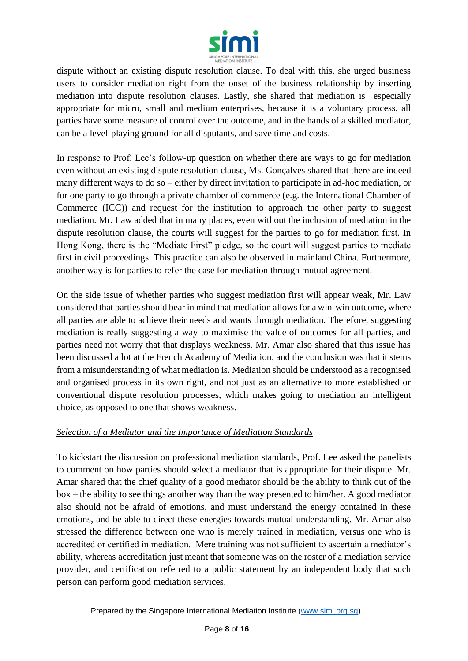

dispute without an existing dispute resolution clause. To deal with this, she urged business users to consider mediation right from the onset of the business relationship by inserting mediation into dispute resolution clauses. Lastly, she shared that mediation is especially appropriate for micro, small and medium enterprises, because it is a voluntary process, all parties have some measure of control over the outcome, and in the hands of a skilled mediator, can be a level-playing ground for all disputants, and save time and costs.

In response to Prof. Lee's follow-up question on whether there are ways to go for mediation even without an existing dispute resolution clause, Ms. Gonçalves shared that there are indeed many different ways to do so – either by direct invitation to participate in ad-hoc mediation, or for one party to go through a private chamber of commerce (e.g. the International Chamber of Commerce (ICC)) and request for the institution to approach the other party to suggest mediation. Mr. Law added that in many places, even without the inclusion of mediation in the dispute resolution clause, the courts will suggest for the parties to go for mediation first. In Hong Kong, there is the "Mediate First" pledge, so the court will suggest parties to mediate first in civil proceedings. This practice can also be observed in mainland China. Furthermore, another way is for parties to refer the case for mediation through mutual agreement.

On the side issue of whether parties who suggest mediation first will appear weak, Mr. Law considered that parties should bear in mind that mediation allows for a win-win outcome, where all parties are able to achieve their needs and wants through mediation. Therefore, suggesting mediation is really suggesting a way to maximise the value of outcomes for all parties, and parties need not worry that that displays weakness. Mr. Amar also shared that this issue has been discussed a lot at the French Academy of Mediation, and the conclusion was that it stems from a misunderstanding of what mediation is. Mediation should be understood as a recognised and organised process in its own right, and not just as an alternative to more established or conventional dispute resolution processes, which makes going to mediation an intelligent choice, as opposed to one that shows weakness.

#### *Selection of a Mediator and the Importance of Mediation Standards*

To kickstart the discussion on professional mediation standards, Prof. Lee asked the panelists to comment on how parties should select a mediator that is appropriate for their dispute. Mr. Amar shared that the chief quality of a good mediator should be the ability to think out of the box – the ability to see things another way than the way presented to him/her. A good mediator also should not be afraid of emotions, and must understand the energy contained in these emotions, and be able to direct these energies towards mutual understanding. Mr. Amar also stressed the difference between one who is merely trained in mediation, versus one who is accredited or certified in mediation. Mere training was not sufficient to ascertain a mediator's ability, whereas accreditation just meant that someone was on the roster of a mediation service provider, and certification referred to a public statement by an independent body that such person can perform good mediation services.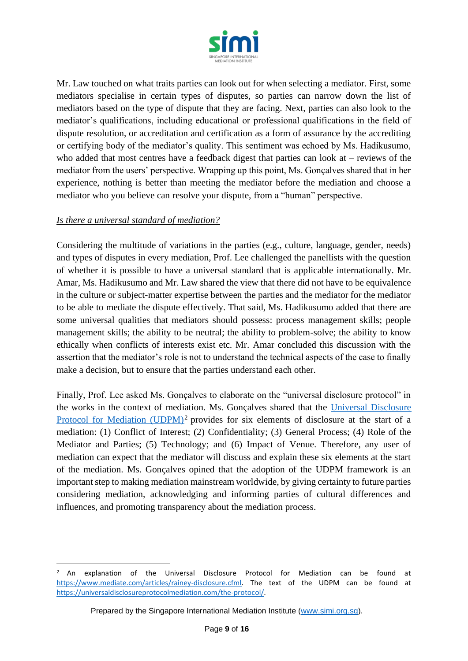

Mr. Law touched on what traits parties can look out for when selecting a mediator. First, some mediators specialise in certain types of disputes, so parties can narrow down the list of mediators based on the type of dispute that they are facing. Next, parties can also look to the mediator's qualifications, including educational or professional qualifications in the field of dispute resolution, or accreditation and certification as a form of assurance by the accrediting or certifying body of the mediator's quality. This sentiment was echoed by Ms. Hadikusumo, who added that most centres have a feedback digest that parties can look at – reviews of the mediator from the users' perspective. Wrapping up this point, Ms. Gonçalves shared that in her experience, nothing is better than meeting the mediator before the mediation and choose a mediator who you believe can resolve your dispute, from a "human" perspective.

## *Is there a universal standard of mediation?*

Considering the multitude of variations in the parties (e.g., culture, language, gender, needs) and types of disputes in every mediation, Prof. Lee challenged the panellists with the question of whether it is possible to have a universal standard that is applicable internationally. Mr. Amar, Ms. Hadikusumo and Mr. Law shared the view that there did not have to be equivalence in the culture or subject-matter expertise between the parties and the mediator for the mediator to be able to mediate the dispute effectively. That said, Ms. Hadikusumo added that there are some universal qualities that mediators should possess: process management skills; people management skills; the ability to be neutral; the ability to problem-solve; the ability to know ethically when conflicts of interests exist etc. Mr. Amar concluded this discussion with the assertion that the mediator's role is not to understand the technical aspects of the case to finally make a decision, but to ensure that the parties understand each other.

Finally, Prof. Lee asked Ms. Gonçalves to elaborate on the "universal disclosure protocol" in the works in the context of mediation. Ms. Gonçalves shared that the [Universal Disclosure](https://universaldisclosureprotocolmediation.com/the-protocol/)  [Protocol for Mediation \(UDPM\)](https://universaldisclosureprotocolmediation.com/the-protocol/)<sup>2</sup> provides for six elements of disclosure at the start of a mediation: (1) Conflict of Interest; (2) Confidentiality; (3) General Process; (4) Role of the Mediator and Parties; (5) Technology; and (6) Impact of Venue. Therefore, any user of mediation can expect that the mediator will discuss and explain these six elements at the start of the mediation. Ms. Gonçalves opined that the adoption of the UDPM framework is an important step to making mediation mainstream worldwide, by giving certainty to future parties considering mediation, acknowledging and informing parties of cultural differences and influences, and promoting transparency about the mediation process.

<sup>&</sup>lt;sup>2</sup> An explanation of the Universal Disclosure Protocol for Mediation can be found at [https://www.mediate.com/articles/rainey-disclosure.cfml.](https://www.mediate.com/articles/rainey-disclosure.cfml) The text of the UDPM can be found at [https://universaldisclosureprotocolmediation.com/the-protocol/.](https://universaldisclosureprotocolmediation.com/the-protocol/)

Prepared by the Singapore International Mediation Institute [\(www.simi.org.sg\)](http://www.simi.org.sg/).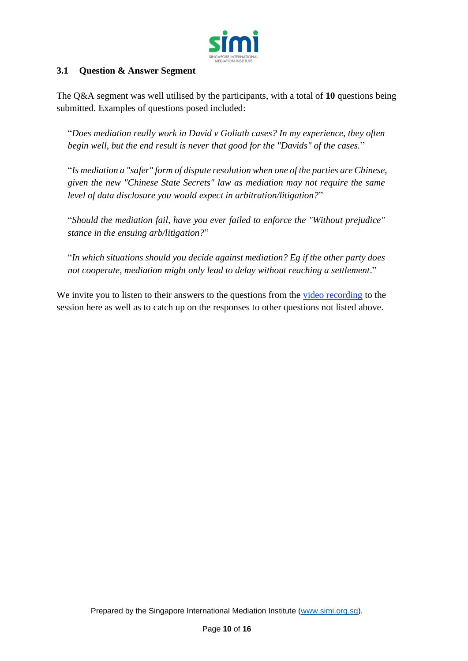

## **3.1 Question & Answer Segment**

The Q&A segment was well utilised by the participants, with a total of **10** questions being submitted. Examples of questions posed included:

"*Does mediation really work in David v Goliath cases? In my experience, they often begin well, but the end result is never that good for the "Davids" of the cases.*"

"*Is mediation a "safer" form of dispute resolution when one of the parties are Chinese, given the new "Chinese State Secrets" law as mediation may not require the same level of data disclosure you would expect in arbitration/litigation?*"

"*Should the mediation fail, have you ever failed to enforce the "Without prejudice" stance in the ensuing arb/litigation?*"

"*In which situations should you decide against mediation? Eg if the other party does not cooperate, mediation might only lead to delay without reaching a settlement*."

We invite you to listen to their answers to the questions from the [video recording](https://youtu.be/uDUtkaYRqXQ) to the session here as well as to catch up on the responses to other questions not listed above.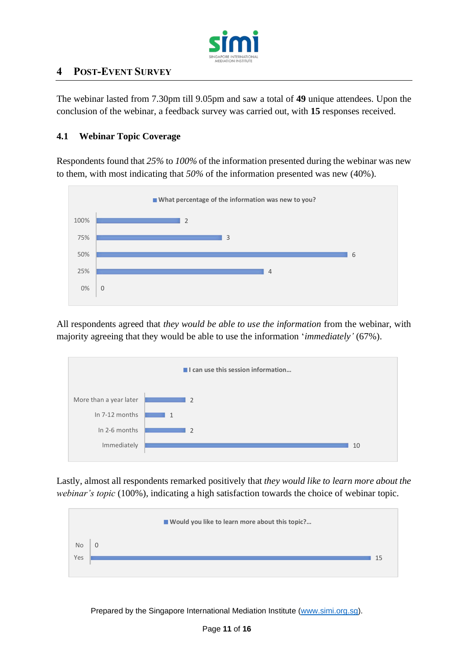

# **4 POST-EVENT SURVEY**

The webinar lasted from 7.30pm till 9.05pm and saw a total of **49** unique attendees. Upon the conclusion of the webinar, a feedback survey was carried out, with **15** responses received.

#### **4.1 Webinar Topic Coverage**

Respondents found that *25%* to *100%* of the information presented during the webinar was new to them, with most indicating that *50%* of the information presented was new (40%).



All respondents agreed that *they would be able to use the information* from the webinar, with majority agreeing that they would be able to use the information '*immediately'* (67%).



Lastly, almost all respondents remarked positively that *they would like to learn more about the webinar's topic* (100%)*,* indicating a high satisfaction towards the choice of webinar topic.

|           | ■ Would you like to learn more about this topic? |    |
|-----------|--------------------------------------------------|----|
| <b>No</b> | $\mathbf 0$                                      |    |
| Yes       |                                                  | 15 |
|           |                                                  |    |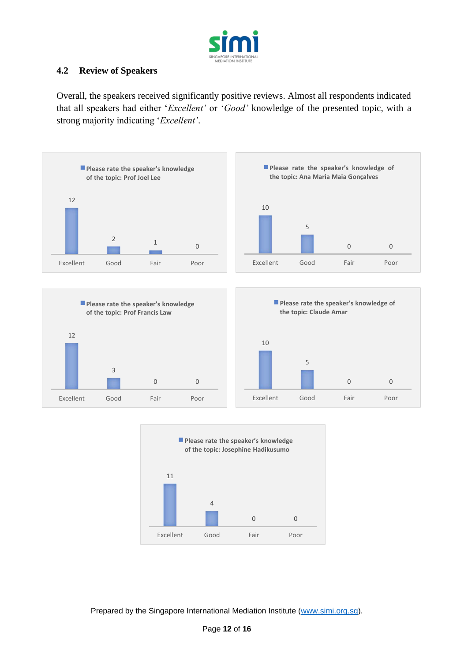

## **4.2 Review of Speakers**

Overall, the speakers received significantly positive reviews. Almost all respondents indicated that all speakers had either '*Excellent'* or '*Good'* knowledge of the presented topic, with a strong majority indicating '*Excellent'*.



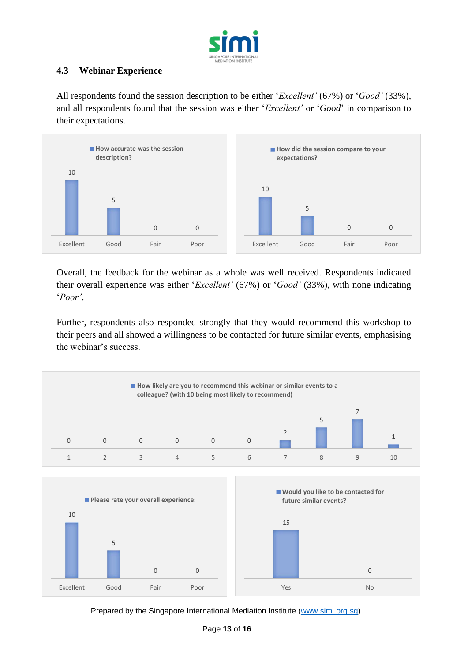

# **4.3 Webinar Experience**

All respondents found the session description to be either '*Excellent'* (67%) or '*Good'* (33%), and all respondents found that the session was either '*Excellent'* or '*Good*' in comparison to their expectations.



Overall, the feedback for the webinar as a whole was well received. Respondents indicated their overall experience was either '*Excellent'* (67%) or '*Good'* (33%), with none indicating '*Poor'*.

Further, respondents also responded strongly that they would recommend this workshop to their peers and all showed a willingness to be contacted for future similar events, emphasising the webinar's success.

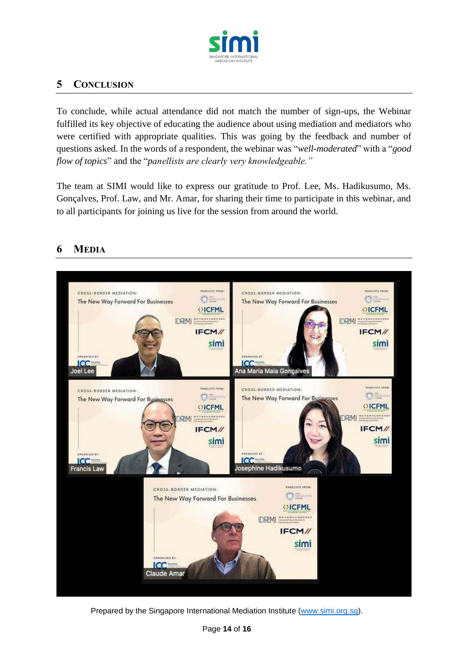

# **5 CONCLUSION**

To conclude, while actual attendance did not match the number of sign-ups, the Webinar fulfilled its key objective of educating the audience about using mediation and mediators who were certified with appropriate qualities. This was going by the feedback and number of questions asked. In the words of a respondent, the webinar was "*well-moderated*" with a "*good flow of topics*" and the "*panellists are clearly very knowledgeable."*

The team at SIMI would like to express our gratitude to Prof. Lee, Ms. Hadikusumo, Ms. Gonçalves, Prof. Law, and Mr. Amar, for sharing their time to participate in this webinar, and to all participants for joining us live for the session from around the world.



# **6 MEDIA**

Prepared by the Singapore International Mediation Institute [\(www.simi.org.sg\)](http://www.simi.org.sg/).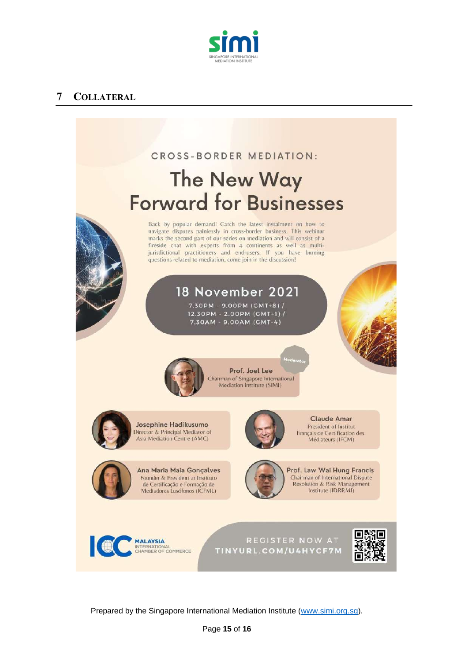

# **7 COLLATERAL**